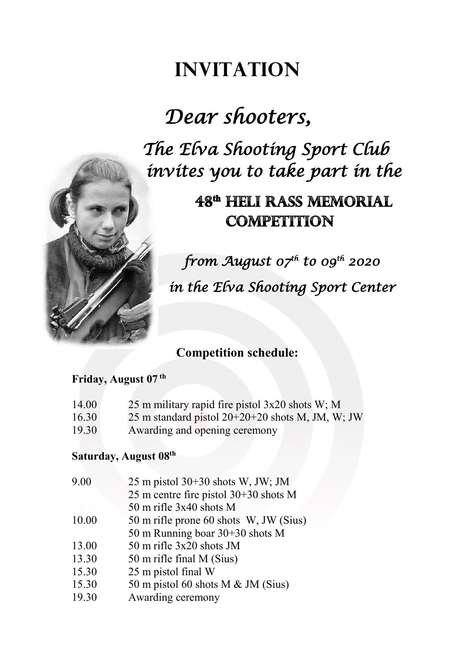## **Invitation**

# *Dear shooters,*

*The Elva Shooting Sport Club invites you to take part in the*

### 48<sup>th</sup> HELI RASS MEMORIAL **COMPETITION**

 *from August 07th to 09th 2020 in the Elva Shooting Sport Center* 

### **Competition schedule:**

#### **Friday, August 07 th**

- 14.00 25 m military rapid fire pistol 3x20 shots W; M
- 16.30 25 m standard pistol  $20+20+20$  shots M, JM, W; JW
- 19.30 Awarding and opening ceremony

#### **Saturday, August 08th**

| 9.00  | 25 m pistol $30+30$ shots W, JW; JM     |
|-------|-----------------------------------------|
|       | 25 m centre fire pistol $30+30$ shots M |
|       | 50 m rifle $3x40$ shots M               |
| 10.00 | 50 m rifle prone 60 shots W, JW (Sius)  |
|       | 50 m Running boar $30+30$ shots M       |
| 13.00 | 50 m rifle $3x20$ shots JM              |
| 13.30 | 50 m rifle final M (Sius)               |
| 15.30 | 25 m pistol final W                     |
| 15.30 | 50 m pistol 60 shots M $&$ JM (Sius)    |
| 19.30 | Awarding ceremony                       |